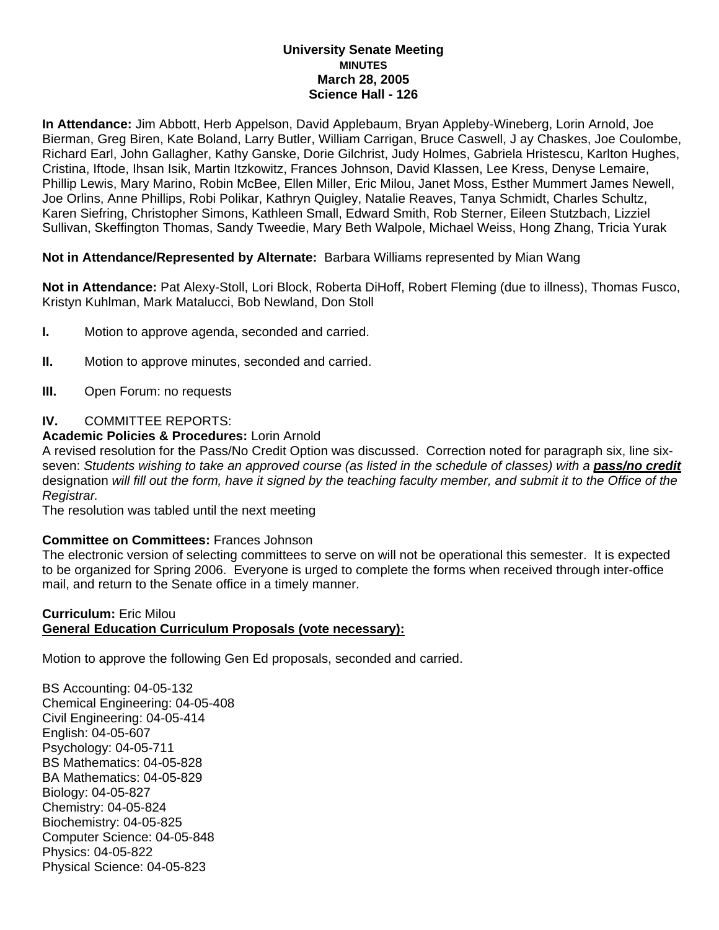#### **University Senate Meeting MINUTES March 28, 2005 Science Hall - 126**

**In Attendance:** Jim Abbott, Herb Appelson, David Applebaum, Bryan Appleby-Wineberg, Lorin Arnold, Joe Bierman, Greg Biren, Kate Boland, Larry Butler, William Carrigan, Bruce Caswell, J ay Chaskes, Joe Coulombe, Richard Earl, John Gallagher, Kathy Ganske, Dorie Gilchrist, Judy Holmes, Gabriela Hristescu, Karlton Hughes, Cristina, Iftode, Ihsan Isik, Martin Itzkowitz, Frances Johnson, David Klassen, Lee Kress, Denyse Lemaire, Phillip Lewis, Mary Marino, Robin McBee, Ellen Miller, Eric Milou, Janet Moss, Esther Mummert James Newell, Joe Orlins, Anne Phillips, Robi Polikar, Kathryn Quigley, Natalie Reaves, Tanya Schmidt, Charles Schultz, Karen Siefring, Christopher Simons, Kathleen Small, Edward Smith, Rob Sterner, Eileen Stutzbach, Lizziel Sullivan, Skeffington Thomas, Sandy Tweedie, Mary Beth Walpole, Michael Weiss, Hong Zhang, Tricia Yurak

# **Not in Attendance/Represented by Alternate:** Barbara Williams represented by Mian Wang

**Not in Attendance:** Pat Alexy-Stoll, Lori Block, Roberta DiHoff, Robert Fleming (due to illness), Thomas Fusco, Kristyn Kuhlman, Mark Matalucci, Bob Newland, Don Stoll

- **I.** Motion to approve agenda, seconded and carried.
- **II.** Motion to approve minutes, seconded and carried.
- **III.** Open Forum: no requests

## **IV.** COMMITTEE REPORTS:

## **Academic Policies & Procedures:** Lorin Arnold

A revised resolution for the Pass/No Credit Option was discussed. Correction noted for paragraph six, line sixseven: *Students wishing to take an approved course (as listed in the schedule of classes) with a pass/no credit* designation *will fill out the form, have it signed by the teaching faculty member, and submit it to the Office of the Registrar.* 

The resolution was tabled until the next meeting

#### **Committee on Committees:** Frances Johnson

The electronic version of selecting committees to serve on will not be operational this semester. It is expected to be organized for Spring 2006. Everyone is urged to complete the forms when received through inter-office mail, and return to the Senate office in a timely manner.

# **Curriculum:** Eric Milou **General Education Curriculum Proposals (vote necessary):**

Motion to approve the following Gen Ed proposals, seconded and carried.

BS Accounting: 04-05-132 Chemical Engineering: 04-05-408 Civil Engineering: 04-05-414 English: 04-05-607 Psychology: 04-05-711 BS Mathematics: 04-05-828 BA Mathematics: 04-05-829 Biology: 04-05-827 Chemistry: 04-05-824 Biochemistry: 04-05-825 Computer Science: 04-05-848 Physics: 04-05-822 Physical Science: 04-05-823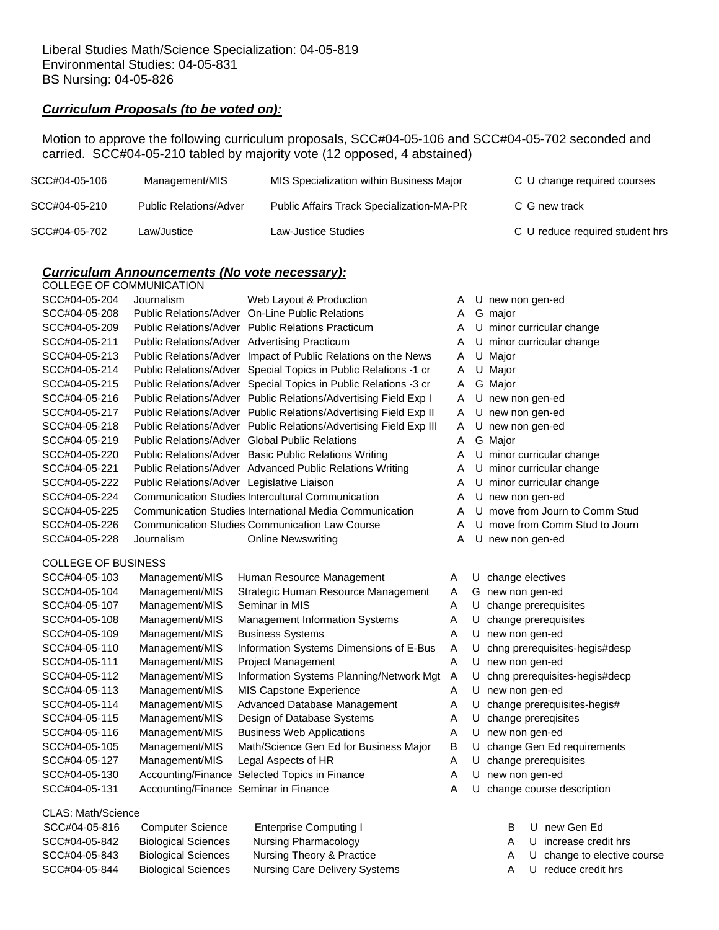#### *Curriculum Proposals (to be voted on):*

Motion to approve the following curriculum proposals, SCC#04-05-106 and SCC#04-05-702 seconded and carried. SCC#04-05-210 tabled by majority vote (12 opposed, 4 abstained)

| SCC#04-05-106 | Management/MIS                | MIS Specialization within Business Major         | C U change required courses     |
|---------------|-------------------------------|--------------------------------------------------|---------------------------------|
| SCC#04-05-210 | <b>Public Relations/Adver</b> | <b>Public Affairs Track Specialization-MA-PR</b> | C G new track                   |
| SCC#04-05-702 | Law/Justice_                  | Law-Justice Studies                              | C U reduce required student hrs |

## *Curriculum Announcements (No vote necessary):*

| COLLEGE OF COMMUNICATION   |                                            |                                                                   |   |   |                          |
|----------------------------|--------------------------------------------|-------------------------------------------------------------------|---|---|--------------------------|
| SCC#04-05-204              | Journalism                                 | Web Layout & Production                                           | A |   | U new non gen-ed         |
| SCC#04-05-208              |                                            | Public Relations/Adver On-Line Public Relations                   | A | G | major                    |
| SCC#04-05-209              |                                            | <b>Public Relations/Adver Public Relations Practicum</b>          | A |   | minor curricular change  |
| SCC#04-05-211              |                                            | Public Relations/Adver Advertising Practicum                      | A | U | minor curricular change  |
| SCC#04-05-213              |                                            | Public Relations/Adver Impact of Public Relations on the News     | A |   | U Major                  |
| SCC#04-05-214              |                                            | Public Relations/Adver Special Topics in Public Relations -1 cr   | A | U | Major                    |
| SCC#04-05-215              |                                            | Public Relations/Adver Special Topics in Public Relations -3 cr   | A |   | G Major                  |
| SCC#04-05-216              |                                            | Public Relations/Adver Public Relations/Advertising Field Exp I   | A |   | U new non gen-ed         |
| SCC#04-05-217              |                                            | Public Relations/Adver Public Relations/Advertising Field Exp II  | A | U | new non gen-ed           |
| SCC#04-05-218              |                                            | Public Relations/Adver Public Relations/Advertising Field Exp III | A | U | new non gen-ed           |
| SCC#04-05-219              |                                            | <b>Public Relations/Adver Global Public Relations</b>             | A |   | G Major                  |
| SCC#04-05-220              |                                            | Public Relations/Adver Basic Public Relations Writing             | A | U | minor curricular change  |
| SCC#04-05-221              |                                            | Public Relations/Adver Advanced Public Relations Writing          | A | U | minor curricular change  |
| SCC#04-05-222              | Public Relations/Adver Legislative Liaison |                                                                   | A | U | minor curricular change  |
| SCC#04-05-224              |                                            | Communication Studies Intercultural Communication                 | A | U | new non gen-ed           |
| SCC#04-05-225              |                                            | Communication Studies International Media Communication           | A | U | move from Journ to Con   |
| SCC#04-05-226              |                                            | <b>Communication Studies Communication Law Course</b>             | A | U | move from Comm Stud      |
| SCC#04-05-228              | Journalism                                 | <b>Online Newswriting</b>                                         | A | U | new non gen-ed           |
| <b>COLLEGE OF BUSINESS</b> |                                            |                                                                   |   |   |                          |
| SCC#04-05-103              | Management/MIS                             | Human Resource Management                                         | A | U | change electives         |
| SCC#04-05-104              | Management/MIS                             | Strategic Human Resource Management                               | A | G | new non gen-ed           |
| SCC#04-05-107              | Management/MIS                             | Seminar in MIS                                                    | A | U | change prerequisites     |
| SCC#04-05-108              | Management/MIS                             | <b>Management Information Systems</b>                             | A | U | change prerequisites     |
| SCC#04-05-109              | Management/MIS                             | <b>Business Systems</b>                                           | A | U | new non gen-ed           |
| SCC#04-05-110              | Management/MIS                             | Information Systems Dimensions of E-Bus                           | A | U | chng prerequisites-hegis |
| SCC#04-05-111              | Management/MIS                             | <b>Project Management</b>                                         | A | U | new non gen-ed           |
| SCC#04-05-112              | Management/MIS                             | Information Systems Planning/Network Mgt                          | Α | U | chng prerequisites-hegis |
| SCC#04-05-113              | Management/MIS                             | <b>MIS Capstone Experience</b>                                    | A |   | U new non gen-ed         |
|                            |                                            |                                                                   |   |   |                          |

| SCC#04-05-103 | Management/MIS                        | Human Resource Management                     |  |
|---------------|---------------------------------------|-----------------------------------------------|--|
| SCC#04-05-104 | Management/MIS                        | Strategic Human Resource Management           |  |
| SCC#04-05-107 | Management/MIS                        | Seminar in MIS                                |  |
| SCC#04-05-108 | Management/MIS                        | <b>Management Information Systems</b>         |  |
| SCC#04-05-109 | Management/MIS                        | <b>Business Systems</b>                       |  |
| SCC#04-05-110 | Management/MIS                        | Information Systems Dimensions of E-Bus       |  |
| SCC#04-05-111 | Management/MIS                        | Project Management                            |  |
| SCC#04-05-112 | Management/MIS                        | Information Systems Planning/Network Mgt      |  |
| SCC#04-05-113 | Management/MIS                        | <b>MIS Capstone Experience</b>                |  |
| SCC#04-05-114 | Management/MIS                        | Advanced Database Management                  |  |
| SCC#04-05-115 | Management/MIS                        | Design of Database Systems                    |  |
| SCC#04-05-116 | Management/MIS                        | <b>Business Web Applications</b>              |  |
| SCC#04-05-105 | Management/MIS                        | Math/Science Gen Ed for Business Major        |  |
| SCC#04-05-127 | Management/MIS                        | Legal Aspects of HR                           |  |
| SCC#04-05-130 |                                       | Accounting/Finance Selected Topics in Finance |  |
| SCC#04-05-131 | Accounting/Finance Seminar in Finance |                                               |  |
|               |                                       |                                               |  |

#### CLAS: Math/Science

| SCC#04-05-816 | <b>Computer Science</b>    | Enterprise Computing I               |
|---------------|----------------------------|--------------------------------------|
| SCC#04-05-842 | <b>Biological Sciences</b> | Nursing Pharmacology                 |
| SCC#04-05-843 | <b>Biological Sciences</b> | Nursing Theory & Practice            |
| SCC#04-05-844 | <b>Biological Sciences</b> | <b>Nursing Care Delivery Systems</b> |

- om Journ to Comm Stud om Comm Stud to Journ
	-
- 
- 
- prerequisites
- prerequisites
- 
- erequisites-hegis#desp
- 
- erequisites-hegis#decp
- 
- A U change prerequisites-hegis#
- A U change prereqisites
- A U new non gen-ed
- B U change Gen Ed requirements
- A U change prerequisites
- A U new non gen-ed
- A U change course description
	- B U new Gen Ed
	- A U increase credit hrs
	- A U change to elective course
	- A U reduce credit hrs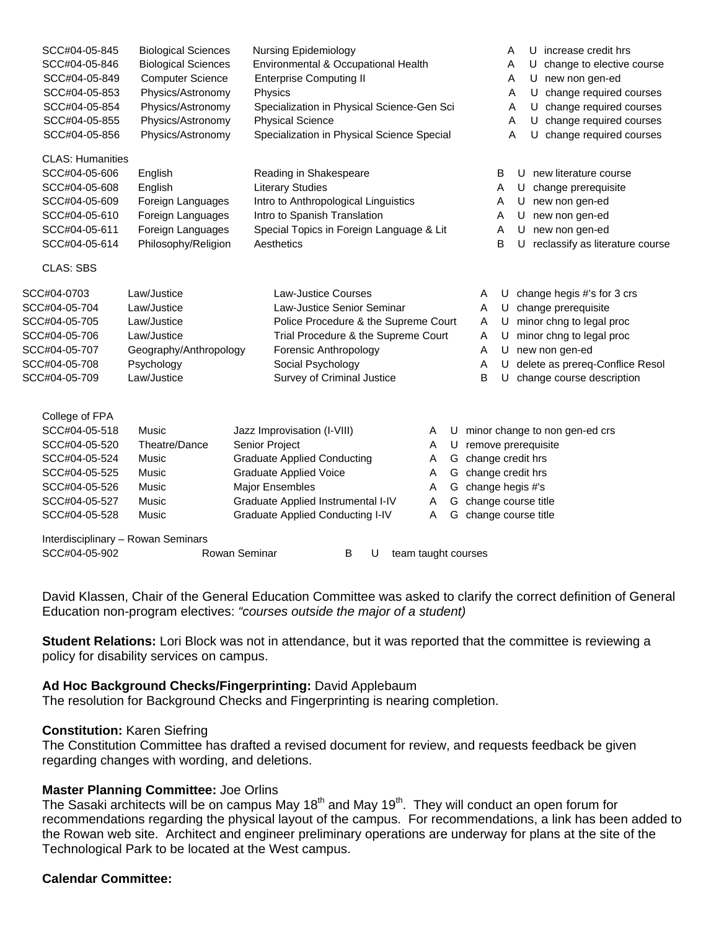| SCC#04-05-845           | <b>Biological Sciences</b>         | <b>Nursing Epidemiology</b>                |                     |   |                   | U increase credit hrs<br>A           |
|-------------------------|------------------------------------|--------------------------------------------|---------------------|---|-------------------|--------------------------------------|
| SCC#04-05-846           | <b>Biological Sciences</b>         | Environmental & Occupational Health        |                     |   |                   | change to elective course<br>Α<br>U  |
| SCC#04-05-849           | <b>Computer Science</b>            | <b>Enterprise Computing II</b>             |                     |   |                   | U new non gen-ed<br>Α                |
| SCC#04-05-853           | Physics/Astronomy                  | Physics                                    |                     |   |                   | change required courses<br>Α<br>U    |
| SCC#04-05-854           | Physics/Astronomy                  | Specialization in Physical Science-Gen Sci |                     |   |                   | change required courses<br>U<br>Α    |
| SCC#04-05-855           | Physics/Astronomy                  | <b>Physical Science</b>                    |                     |   |                   | U<br>change required courses<br>Α    |
| SCC#04-05-856           | Physics/Astronomy                  | Specialization in Physical Science Special |                     |   |                   | change required courses<br>A<br>U    |
| <b>CLAS: Humanities</b> |                                    |                                            |                     |   |                   |                                      |
| SCC#04-05-606           | English                            | Reading in Shakespeare                     |                     |   | B                 | new literature course<br>U           |
| SCC#04-05-608           | English                            | <b>Literary Studies</b>                    |                     |   | Α                 | change prerequisite<br>U             |
| SCC#04-05-609           | Foreign Languages                  | Intro to Anthropological Linguistics       |                     |   | A                 | new non gen-ed<br>U                  |
| SCC#04-05-610           | Foreign Languages                  | Intro to Spanish Translation               |                     |   | Α                 | new non gen-ed<br>U                  |
| SCC#04-05-611           | Foreign Languages                  | Special Topics in Foreign Language & Lit   |                     |   | A                 | new non gen-ed<br>U                  |
| SCC#04-05-614           | Philosophy/Religion                | Aesthetics                                 |                     |   | B                 | reclassify as literature course<br>U |
| <b>CLAS: SBS</b>        |                                    |                                            |                     |   |                   |                                      |
| SCC#04-0703             | Law/Justice                        | <b>Law-Justice Courses</b>                 |                     |   | A<br>U            | change hegis #'s for 3 crs           |
| SCC#04-05-704           | Law/Justice                        | Law-Justice Senior Seminar                 |                     |   | U<br>A            | change prerequisite                  |
| SCC#04-05-705           | Law/Justice                        | Police Procedure & the Supreme Court       |                     |   | Α<br>U            | minor chng to legal proc             |
| SCC#04-05-706           | Law/Justice                        | Trial Procedure & the Supreme Court        |                     |   | U<br>A            | minor chng to legal proc             |
| SCC#04-05-707           | Geography/Anthropology             | Forensic Anthropology                      |                     |   | U<br>A            | new non gen-ed                       |
| SCC#04-05-708           | Psychology                         | Social Psychology                          |                     |   | U<br>A            | delete as prereq-Conflice Resol      |
| SCC#04-05-709           | Law/Justice                        | Survey of Criminal Justice                 |                     |   | B<br>U            | change course description            |
|                         |                                    |                                            |                     |   |                   |                                      |
| College of FPA          |                                    |                                            |                     |   |                   |                                      |
| SCC#04-05-518           | Music                              | Jazz Improvisation (I-VIII)                | Α                   | U |                   | minor change to non gen-ed crs       |
| SCC#04-05-520           | Theatre/Dance                      | Senior Project                             | Α                   | U |                   | remove prerequisite                  |
| SCC#04-05-524           | Music                              | <b>Graduate Applied Conducting</b>         | A                   | G | change credit hrs |                                      |
| SCC#04-05-525           | Music                              | <b>Graduate Applied Voice</b>              | Α                   | G | change credit hrs |                                      |
| SCC#04-05-526           | Music                              | <b>Major Ensembles</b>                     | Α                   | G | change hegis #'s  |                                      |
| SCC#04-05-527           | Music                              | Graduate Applied Instrumental I-IV         | A                   | G |                   | change course title                  |
| SCC#04-05-528           | Music                              | <b>Graduate Applied Conducting I-IV</b>    | A                   | G |                   | change course title                  |
|                         | Interdisciplinary - Rowan Seminars |                                            |                     |   |                   |                                      |
| SCC#04-05-902           |                                    | Rowan Seminar<br>В<br>U                    | team taught courses |   |                   |                                      |

David Klassen, Chair of the General Education Committee was asked to clarify the correct definition of General Education non-program electives: *"courses outside the major of a student)* 

**Student Relations:** Lori Block was not in attendance, but it was reported that the committee is reviewing a policy for disability services on campus.

# **Ad Hoc Background Checks/Fingerprinting:** David Applebaum

The resolution for Background Checks and Fingerprinting is nearing completion.

# **Constitution:** Karen Siefring

The Constitution Committee has drafted a revised document for review, and requests feedback be given regarding changes with wording, and deletions.

# **Master Planning Committee:** Joe Orlins

The Sasaki architects will be on campus May 18<sup>th</sup> and May 19<sup>th</sup>. They will conduct an open forum for recommendations regarding the physical layout of the campus. For recommendations, a link has been added to the Rowan web site. Architect and engineer preliminary operations are underway for plans at the site of the Technological Park to be located at the West campus.

# **Calendar Committee:**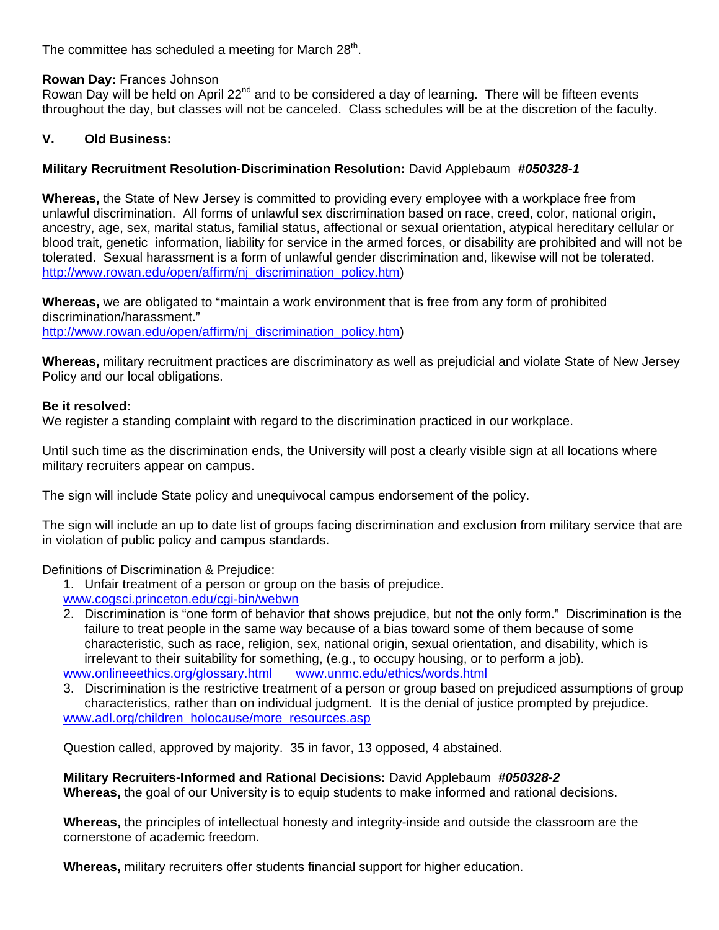The committee has scheduled a meeting for March 28<sup>th</sup>.

# **Rowan Day:** Frances Johnson

Rowan Day will be held on April 22<sup>nd</sup> and to be considered a day of learning. There will be fifteen events throughout the day, but classes will not be canceled. Class schedules will be at the discretion of the faculty.

# **V. Old Business:**

# **Military Recruitment Resolution-Discrimination Resolution:** David Applebaum *#050328-1*

**Whereas,** the State of New Jersey is committed to providing every employee with a workplace free from unlawful discrimination. All forms of unlawful sex discrimination based on race, creed, color, national origin, ancestry, age, sex, marital status, familial status, affectional or sexual orientation, atypical hereditary cellular or blood trait, genetic information, liability for service in the armed forces, or disability are prohibited and will not be tolerated. Sexual harassment is a form of unlawful gender discrimination and, likewise will not be tolerated. http://www.rowan.edu/open/affirm/nj\_discrimination\_policy.htm)

**Whereas,** we are obligated to "maintain a work environment that is free from any form of prohibited discrimination/harassment." http://www.rowan.edu/open/affirm/ni\_discrimination\_policy.htm)

**Whereas,** military recruitment practices are discriminatory as well as prejudicial and violate State of New Jersey Policy and our local obligations.

## **Be it resolved:**

We register a standing complaint with regard to the discrimination practiced in our workplace.

Until such time as the discrimination ends, the University will post a clearly visible sign at all locations where military recruiters appear on campus.

The sign will include State policy and unequivocal campus endorsement of the policy.

The sign will include an up to date list of groups facing discrimination and exclusion from military service that are in violation of public policy and campus standards.

Definitions of Discrimination & Prejudice:

- 1. Unfair treatment of a person or group on the basis of prejudice.
- www.cogsci.princeton.edu/cgi-bin/webwn
- 2. Discrimination is "one form of behavior that shows prejudice, but not the only form." Discrimination is the failure to treat people in the same way because of a bias toward some of them because of some characteristic, such as race, religion, sex, national origin, sexual orientation, and disability, which is irrelevant to their suitability for something, (e.g., to occupy housing, or to perform a job). www.onlineeethics.org/glossary.html www.unmc.edu/ethics/words.html

3. Discrimination is the restrictive treatment of a person or group based on prejudiced assumptions of group characteristics, rather than on individual judgment. It is the denial of justice prompted by prejudice. www.adl.org/children\_holocause/more\_resources.asp

Question called, approved by majority. 35 in favor, 13 opposed, 4 abstained.

# **Military Recruiters-Informed and Rational Decisions:** David Applebaum *#050328-2*

**Whereas,** the goal of our University is to equip students to make informed and rational decisions.

**Whereas,** the principles of intellectual honesty and integrity-inside and outside the classroom are the cornerstone of academic freedom.

**Whereas,** military recruiters offer students financial support for higher education.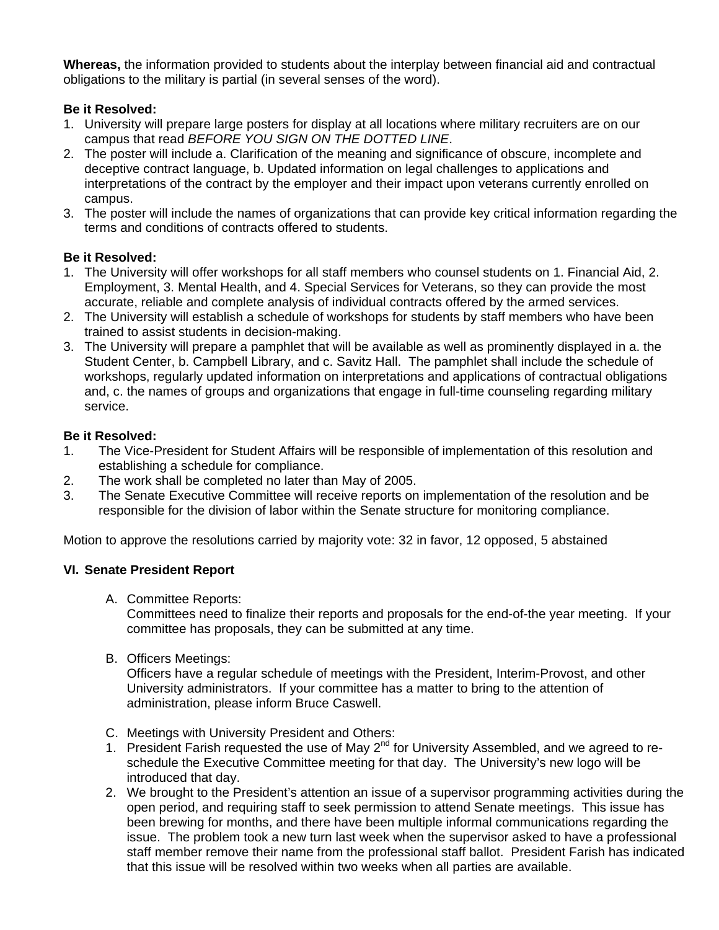**Whereas,** the information provided to students about the interplay between financial aid and contractual obligations to the military is partial (in several senses of the word).

# **Be it Resolved:**

- 1. University will prepare large posters for display at all locations where military recruiters are on our campus that read *BEFORE YOU SIGN ON THE DOTTED LINE*.
- 2. The poster will include a. Clarification of the meaning and significance of obscure, incomplete and deceptive contract language, b. Updated information on legal challenges to applications and interpretations of the contract by the employer and their impact upon veterans currently enrolled on campus.
- 3. The poster will include the names of organizations that can provide key critical information regarding the terms and conditions of contracts offered to students.

# **Be it Resolved:**

- 1. The University will offer workshops for all staff members who counsel students on 1. Financial Aid, 2. Employment, 3. Mental Health, and 4. Special Services for Veterans, so they can provide the most accurate, reliable and complete analysis of individual contracts offered by the armed services.
- 2. The University will establish a schedule of workshops for students by staff members who have been trained to assist students in decision-making.
- 3. The University will prepare a pamphlet that will be available as well as prominently displayed in a. the Student Center, b. Campbell Library, and c. Savitz Hall. The pamphlet shall include the schedule of workshops, regularly updated information on interpretations and applications of contractual obligations and, c. the names of groups and organizations that engage in full-time counseling regarding military service.

# **Be it Resolved:**

- 1. The Vice-President for Student Affairs will be responsible of implementation of this resolution and establishing a schedule for compliance.
- 2. The work shall be completed no later than May of 2005.
- 3. The Senate Executive Committee will receive reports on implementation of the resolution and be responsible for the division of labor within the Senate structure for monitoring compliance.

Motion to approve the resolutions carried by majority vote: 32 in favor, 12 opposed, 5 abstained

# **VI. Senate President Report**

A. Committee Reports:

Committees need to finalize their reports and proposals for the end-of-the year meeting. If your committee has proposals, they can be submitted at any time.

B. Officers Meetings:

Officers have a regular schedule of meetings with the President, Interim-Provost, and other University administrators. If your committee has a matter to bring to the attention of administration, please inform Bruce Caswell.

- C. Meetings with University President and Others:
- 1. President Farish requested the use of May  $2^{nd}$  for University Assembled, and we agreed to reschedule the Executive Committee meeting for that day. The University's new logo will be introduced that day.
- 2. We brought to the President's attention an issue of a supervisor programming activities during the open period, and requiring staff to seek permission to attend Senate meetings. This issue has been brewing for months, and there have been multiple informal communications regarding the issue. The problem took a new turn last week when the supervisor asked to have a professional staff member remove their name from the professional staff ballot. President Farish has indicated that this issue will be resolved within two weeks when all parties are available.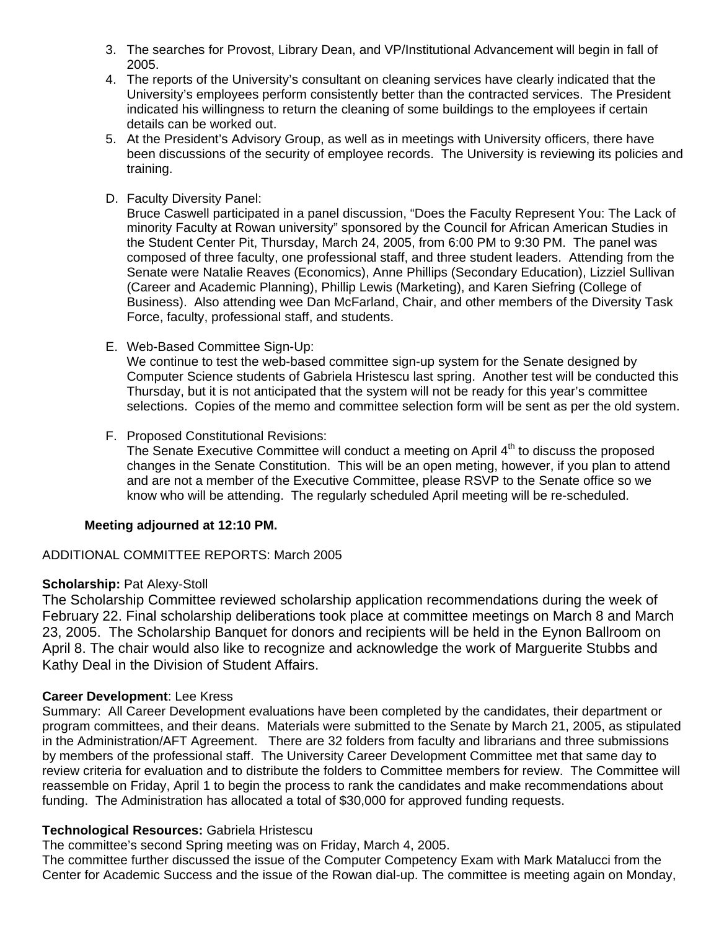- 3. The searches for Provost, Library Dean, and VP/Institutional Advancement will begin in fall of 2005.
- 4. The reports of the University's consultant on cleaning services have clearly indicated that the University's employees perform consistently better than the contracted services. The President indicated his willingness to return the cleaning of some buildings to the employees if certain details can be worked out.
- 5. At the President's Advisory Group, as well as in meetings with University officers, there have been discussions of the security of employee records. The University is reviewing its policies and training.
- D. Faculty Diversity Panel:

Bruce Caswell participated in a panel discussion, "Does the Faculty Represent You: The Lack of minority Faculty at Rowan university" sponsored by the Council for African American Studies in the Student Center Pit, Thursday, March 24, 2005, from 6:00 PM to 9:30 PM. The panel was composed of three faculty, one professional staff, and three student leaders. Attending from the Senate were Natalie Reaves (Economics), Anne Phillips (Secondary Education), Lizziel Sullivan (Career and Academic Planning), Phillip Lewis (Marketing), and Karen Siefring (College of Business). Also attending wee Dan McFarland, Chair, and other members of the Diversity Task Force, faculty, professional staff, and students.

E. Web-Based Committee Sign-Up:

We continue to test the web-based committee sign-up system for the Senate designed by Computer Science students of Gabriela Hristescu last spring. Another test will be conducted this Thursday, but it is not anticipated that the system will not be ready for this year's committee selections. Copies of the memo and committee selection form will be sent as per the old system.

F. Proposed Constitutional Revisions:

The Senate Executive Committee will conduct a meeting on April  $4<sup>th</sup>$  to discuss the proposed changes in the Senate Constitution. This will be an open meting, however, if you plan to attend and are not a member of the Executive Committee, please RSVP to the Senate office so we know who will be attending. The regularly scheduled April meeting will be re-scheduled.

# **Meeting adjourned at 12:10 PM.**

# ADDITIONAL COMMITTEE REPORTS: March 2005

# **Scholarship: Pat Alexy-Stoll**

The Scholarship Committee reviewed scholarship application recommendations during the week of February 22. Final scholarship deliberations took place at committee meetings on March 8 and March 23, 2005. The Scholarship Banquet for donors and recipients will be held in the Eynon Ballroom on April 8. The chair would also like to recognize and acknowledge the work of Marguerite Stubbs and Kathy Deal in the Division of Student Affairs.

# **Career Development**: Lee Kress

Summary: All Career Development evaluations have been completed by the candidates, their department or program committees, and their deans. Materials were submitted to the Senate by March 21, 2005, as stipulated in the Administration/AFT Agreement. There are 32 folders from faculty and librarians and three submissions by members of the professional staff. The University Career Development Committee met that same day to review criteria for evaluation and to distribute the folders to Committee members for review. The Committee will reassemble on Friday, April 1 to begin the process to rank the candidates and make recommendations about funding. The Administration has allocated a total of \$30,000 for approved funding requests.

# **Technological Resources:** Gabriela Hristescu

The committee's second Spring meeting was on Friday, March 4, 2005.

The committee further discussed the issue of the Computer Competency Exam with Mark Matalucci from the Center for Academic Success and the issue of the Rowan dial-up. The committee is meeting again on Monday,